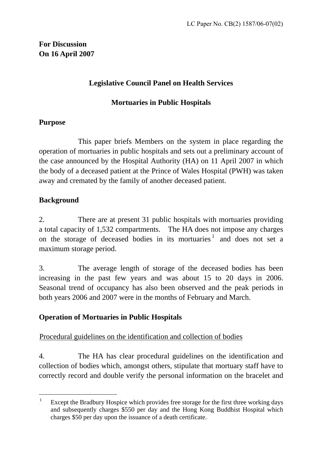# **For Discussion On 16 April 2007**

### **Legislative Council Panel on Health Services**

### **Mortuaries in Public Hospitals**

### **Purpose**

 This paper briefs Members on the system in place regarding the operation of mortuaries in public hospitals and sets out a preliminary account of the case announced by the Hospital Authority (HA) on 11 April 2007 in which the body of a deceased patient at the Prince of Wales Hospital (PWH) was taken away and cremated by the family of another deceased patient.

### **Background**

 $\overline{a}$ 

2. There are at present 31 public hospitals with mortuaries providing a total capacity of 1,532 compartments. The HA does not impose any charges onthe storage of deceased bodies in its mortuaries.<sup>1</sup> and does not set a maximum storage period.

3. The average length of storage of the deceased bodies has been increasing in the past few years and was about 15 to 20 days in 2006. Seasonal trend of occupancy has also been observed and the peak periods in both years 2006 and 2007 were in the months of February and March.

### **Operation of Mortuaries in Public Hospitals**

### Procedural guidelines on the identification and collection of bodies

4. The HA has clear procedural guidelines on the identification and collection of bodies which, amongst others, stipulate that mortuary staff have to correctly record and double verify the personal information on the bracelet and

<span id="page-0-0"></span><sup>1</sup> Except the Bradbury Hospice which provides free storage for the first three working days and subsequently charges \$550 per day and the Hong Kong Buddhist Hospital which charges \$50 per day upon the issuance of a death certificate.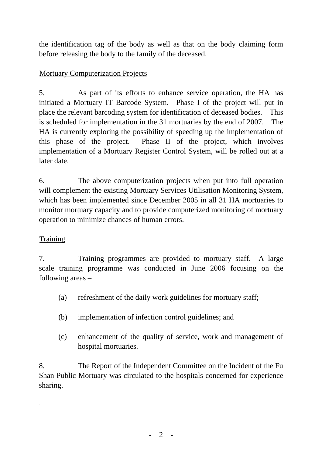the identification tag of the body as well as that on the body claiming form before releasing the body to the family of the deceased.

# **Mortuary Computerization Projects**

5. As part of its efforts to enhance service operation, the HA has initiated a Mortuary IT Barcode System. Phase I of the project will put in place the relevant barcoding system for identification of deceased bodies. This is scheduled for implementation in the 31 mortuaries by the end of 2007. The HA is currently exploring the possibility of speeding up the implementation of this phase of the project. Phase II of the project, which involves implementation of a Mortuary Register Control System, will be rolled out at a later date.

6. The above computerization projects when put into full operation will complement the existing Mortuary Services Utilisation Monitoring System, which has been implemented since December 2005 in all 31 HA mortuaries to monitor mortuary capacity and to provide computerized monitoring of mortuary operation to minimize chances of human errors.

### Training

7. Training programmes are provided to mortuary staff. A large scale training programme was conducted in June 2006 focusing on the following areas –

- (a) refreshment of the daily work guidelines for mortuary staff;
- (b) implementation of infection control guidelines; and
- (c) enhancement of the quality of service, work and management of hospital mortuaries.

8. The Report of the Independent Committee on the Incident of the Fu Shan Public Mortuary was circulated to the hospitals concerned for experience sharing.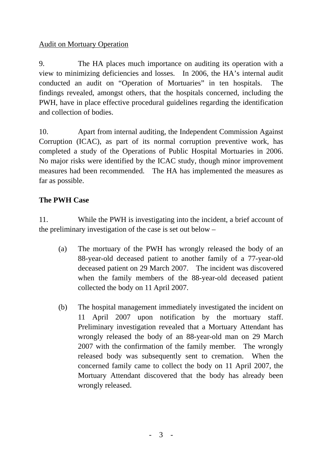### Audit on Mortuary Operation

9. The HA places much importance on auditing its operation with a view to minimizing deficiencies and losses. In 2006, the HA's internal audit conducted an audit on "Operation of Mortuaries" in ten hospitals. The findings revealed, amongst others, that the hospitals concerned, including the PWH, have in place effective procedural guidelines regarding the identification and collection of bodies.

10. Apart from internal auditing, the Independent Commission Against Corruption (ICAC), as part of its normal corruption preventive work, has completed a study of the Operations of Public Hospital Mortuaries in 2006. No major risks were identified by the ICAC study, though minor improvement measures had been recommended. The HA has implemented the measures as far as possible.

### **The PWH Case**

11. While the PWH is investigating into the incident, a brief account of the preliminary investigation of the case is set out below –

- (a) The mortuary of the PWH has wrongly released the body of an 88-year-old deceased patient to another family of a 77-year-old deceased patient on 29 March 2007. The incident was discovered when the family members of the 88-year-old deceased patient collected the body on 11 April 2007.
- (b) The hospital management immediately investigated the incident on 11 April 2007 upon notification by the mortuary staff. Preliminary investigation revealed that a Mortuary Attendant has wrongly released the body of an 88-year-old man on 29 March 2007 with the confirmation of the family member. The wrongly released body was subsequently sent to cremation. When the concerned family came to collect the body on 11 April 2007, the Mortuary Attendant discovered that the body has already been wrongly released.